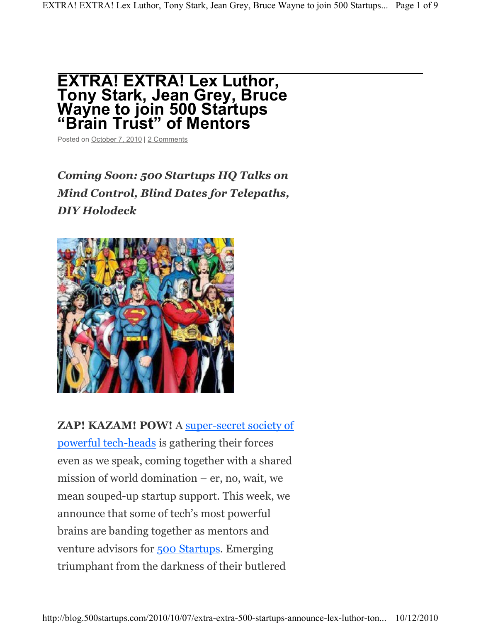## **EXTRA! EXTRA! Lex Luthor, Tony Stark, Jean Grey, Bruce Wayne to join 500 Startups ³Brain Trust´ of Mentors**

Posted on October 7, 2010 | 2 Comments

# *Coming Soon: 500 Startups HQ Talks on Mind Control, Blind Dates for Telepaths, DIY Holodeck*



**ZAP! KAZAM! POW!** A super-secret society of powerful tech-heads is gathering their forces even as we speak, coming together with a shared mission of world domination  $-$  er, no, wait, we mean souped-up startup support. This week, we announce that some of tech's most powerful brains are banding together as mentors and venture advisors for 500 Startups. Emerging triumphant from the darkness of their butlered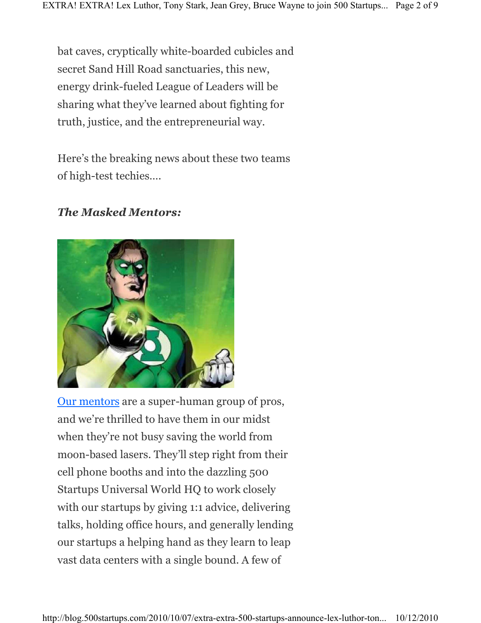bat caves, cryptically white-boarded cubicles and secret Sand Hill Road sanctuaries, this new, energy drink-fueled League of Leaders will be sharing what they've learned about fighting for truth, justice, and the entrepreneurial way.

Here's the breaking news about these two teams of high-test techies....

### *The Masked Mentors:*



Our mentors are a super-human group of pros, and we're thrilled to have them in our midst when they're not busy saving the world from moon-based lasers. They'll step right from their cell phone booths and into the dazzling 500 Startups Universal World HQ to work closely with our startups by giving 1:1 advice, delivering talks, holding office hours, and generally lending our startups a helping hand as they learn to leap vast data centers with a single bound. A few of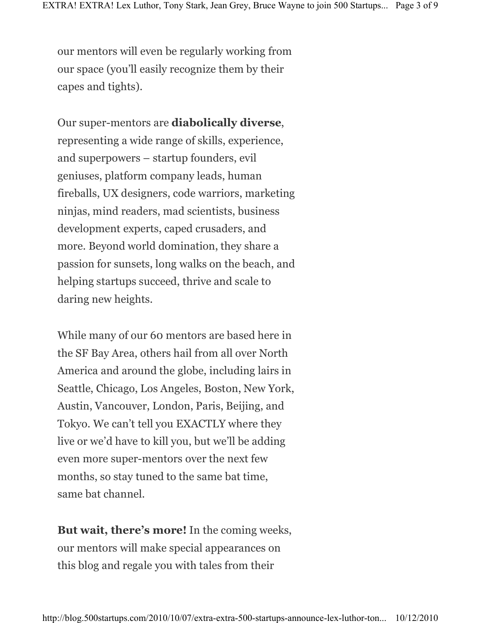our mentors will even be regularly working from our space (you'll easily recognize them by their capes and tights).

Our super-mentors are **diabolically diverse**, representing a wide range of skills, experience, and superpowers – startup founders, evil geniuses, platform company leads, human fireballs, UX designers, code warriors, marketing ninjas, mind readers, mad scientists, business development experts, caped crusaders, and more. Beyond world domination, they share a passion for sunsets, long walks on the beach, and helping startups succeed, thrive and scale to daring new heights.

While many of our 60 mentors are based here in the SF Bay Area, others hail from all over North America and around the globe, including lairs in Seattle, Chicago, Los Angeles, Boston, New York, Austin, Vancouver, London, Paris, Beijing, and Tokyo. We can't tell you EXACTLY where they live or we'd have to kill you, but we'll be adding even more super-mentors over the next few months, so stay tuned to the same bat time, same bat channel.

But wait, there's more! In the coming weeks, our mentors will make special appearances on this blog and regale you with tales from their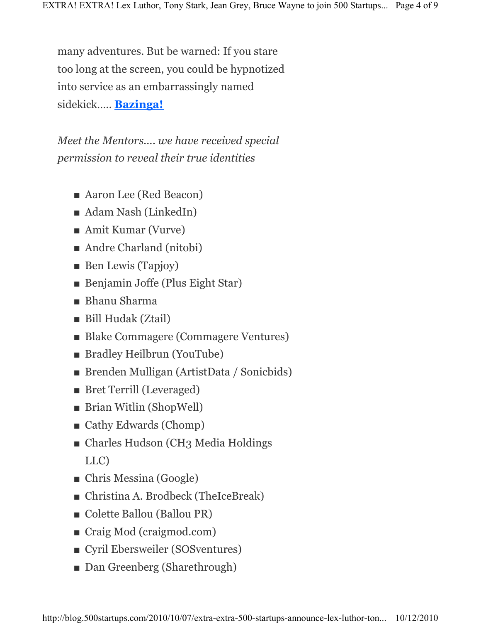many adventures. But be warned: If you stare too long at the screen, you could be hypnotized into service as an embarrassingly named sidekick..... **Bazinga!** 

*Meet the Mentors«. we have received special permission to reveal their true identities*

- $\blacksquare$  Aaron Lee (Red Beacon)
- $\blacksquare$  Adam Nash (LinkedIn)
- $\blacksquare$  Amit Kumar (Vurve)
- $\blacksquare$  Andre Charland (nitobi)
- $\blacksquare$  Ben Lewis (Tapjoy)
- **Benjamin Joffe (Plus Eight Star)**
- $\blacksquare$  Bhanu Sharma
- Bill Hudak (Ztail)
- Blake Commagere (Commagere Ventures)
- Bradley Heilbrun (YouTube)
- Brenden Mulligan (ArtistData / Sonicbids)
- Bret Terrill (Leveraged)
- $\blacksquare$  Brian Witlin (ShopWell)
- $\blacksquare$  Cathy Edwards (Chomp)
- Charles Hudson (CH3 Media Holdings LLC)
- $\blacksquare$  Chris Messina (Google)
- Christina A. Brodbeck (TheIceBreak)
- Colette Ballou (Ballou PR)
- $\blacksquare$  Craig Mod (craigmod.com)
- Cyril Ebersweiler (SOSventures)
- Dan Greenberg (Sharethrough)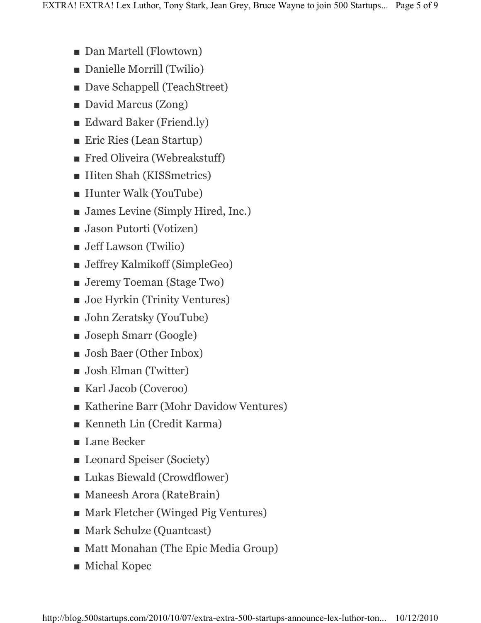- Dan Martell (Flowtown)
- Danielle Morrill (Twilio)
- Dave Schappell (TeachStreet)
- David Marcus (Zong)
- $\blacksquare$  Edward Baker (Friend.ly)
- Eric Ries (Lean Startup)
- $\blacksquare$  Fred Oliveira (Webreakstuff)
- **Hiten Shah (KISSmetrics)**
- $\blacksquare$  Hunter Walk (YouTube)
- $\blacksquare$  James Levine (Simply Hired, Inc.)
- $\blacksquare$  Jason Putorti (Votizen)
- $\blacksquare$  Jeff Lawson (Twilio)
- $\blacksquare$  Jeffrey Kalmikoff (SimpleGeo)
- $\blacksquare$  Jeremy Toeman (Stage Two)
- $\blacksquare$  Joe Hyrkin (Trinity Ventures)
- $\blacksquare$  John Zeratsky (YouTube)
- $\blacksquare$  Joseph Smarr (Google)
- **Josh Baer (Other Inbox)**
- $\blacksquare$  Josh Elman (Twitter)
- $\blacksquare$  Karl Jacob (Coveroo)
- Katherine Barr (Mohr Davidow Ventures)
- $\blacksquare$  Kenneth Lin (Credit Karma)
- $\blacksquare$  Lane Becker
- Leonard Speiser (Society)
- $\blacksquare$  Lukas Biewald (Crowdflower)
- $\blacksquare$  Maneesh Arora (RateBrain)
- Mark Fletcher (Winged Pig Ventures)
- Mark Schulze (Quantcast)
- Matt Monahan (The Epic Media Group)
- $\blacksquare$  Michal Kopec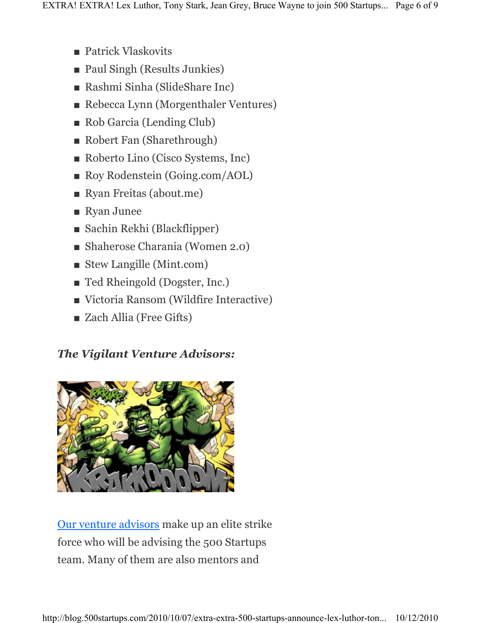- $\blacksquare$  Patrick Vlaskovits
- Paul Singh (Results Junkies)
- Rashmi Sinha (SlideShare Inc)
- Rebecca Lynn (Morgenthaler Ventures)
- $\blacksquare$  Rob Garcia (Lending Club)
- Robert Fan (Sharethrough)
- Roberto Lino (Cisco Systems, Inc)
- Roy Rodenstein (Going.com/AOL)
- Ryan Freitas (about.me)
- $\blacksquare$  Ryan Junee
- $\blacksquare$  Sachin Rekhi (Blackflipper)
- $\blacksquare$  Shaherose Charania (Women 2.0)
- $\blacksquare$  Stew Langille (Mint.com)
- Ted Rheingold (Dogster, Inc.)
- $\blacksquare$  Victoria Ransom (Wildfire Interactive)
- Zach Allia (Free Gifts)

## *The Vigilant Venture Advisors:*



Our venture advisors make up an elite strike force who will be advising the 500 Startups team. Many of them are also mentors and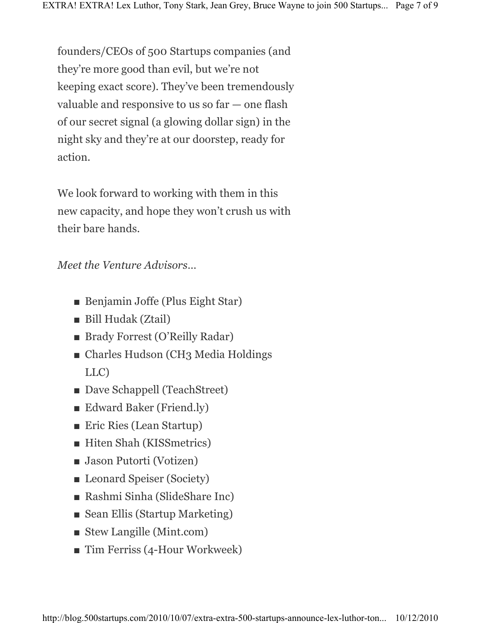founders/CEOs of 500 Startups companies (and they're more good than evil, but we're not keeping exact score). They've been tremendously valuable and responsive to us so  $far$   $-$  one flash of our secret signal (a glowing dollar sign) in the night sky and they're at our doorstep, ready for action.

We look forward to working with them in this new capacity, and hope they won't crush us with their bare hands.

*Meet the Venture Advisors*...

- **Benjamin Joffe (Plus Eight Star)**
- Bill Hudak (Ztail)
- Brady Forrest (O'Reilly Radar)
- Charles Hudson (CH3 Media Holdings LLC)
- Dave Schappell (TeachStreet)
- $\blacksquare$  Edward Baker (Friend.ly)
- $\blacksquare$  Eric Ries (Lean Startup)
- $\blacksquare$  Hiten Shah (KISSmetrics)
- $\blacksquare$  Jason Putorti (Votizen)
- Leonard Speiser (Society)
- Rashmi Sinha (SlideShare Inc)
- $\blacksquare$  Sean Ellis (Startup Marketing)
- $\blacksquare$  Stew Langille (Mint.com)
- $\blacksquare$  Tim Ferriss (4-Hour Workweek)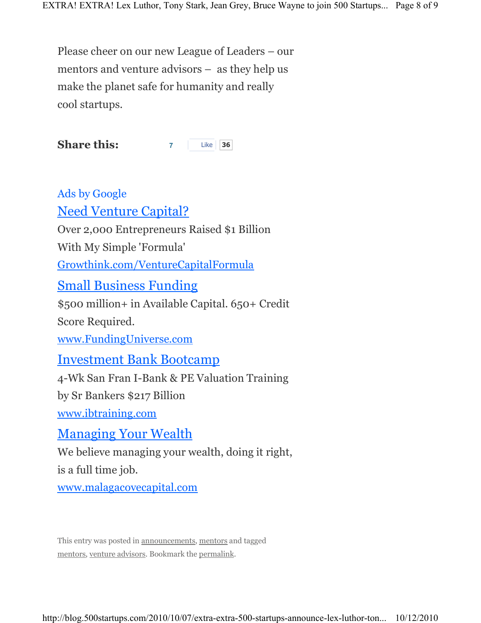Please cheer on our new League of Leaders – our mentors and venture advisors  $-$  as they help us make the planet safe for humanity and really cool startups.

**Share this: 7** Like 36

Ads by Google Need Venture Capital? Over 2,000 Entrepreneurs Raised \$1 Billion With My Simple 'Formula' Growthink.com/VentureCapitalFormula Small Business Funding \$500 million+ in Available Capital. 650+ Credit Score Required. www.FundingUniverse.com Investment Bank Bootcamp 4-Wk San Fran I-Bank & PE Valuation Training by Sr Bankers \$217 Billion www.ibtraining.com Managing Your Wealth

We believe managing your wealth, doing it right, is a full time job.

www.malagacovecapital.com

This entry was posted in announcements, mentors and tagged mentors, venture advisors. Bookmark the permalink.